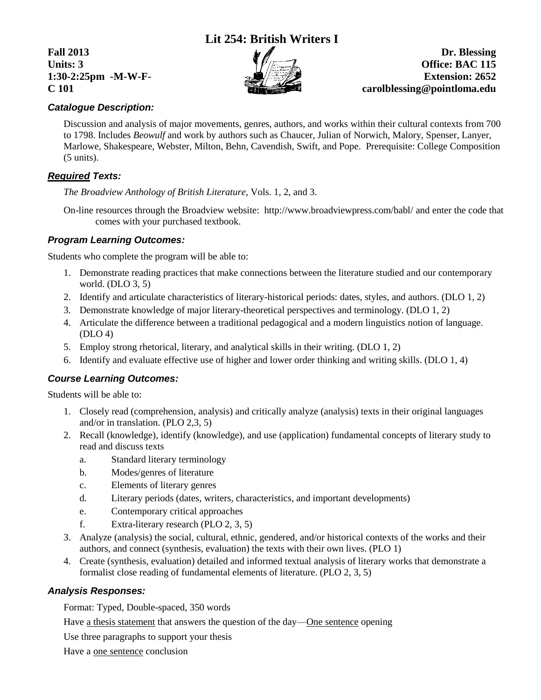# **Lit 254: British Writers I**



**Fall** 2013 **Dr.** Blessing **Units: 3 Office: BAC 115 1:30-2:25pm -M-W-F- Extension: 2652 C 101 carolblessing@pointloma.edu**

## *Catalogue Description:*

Discussion and analysis of major movements, genres, authors, and works within their cultural contexts from 700 to 1798. Includes *Beowulf* and work by authors such as Chaucer, Julian of Norwich, Malory, Spenser, Lanyer, Marlowe, Shakespeare, Webster, Milton, Behn, Cavendish, Swift, and Pope. Prerequisite: College Composition (5 units).

## *Required Texts:*

*The Broadview Anthology of British Literature*, Vols. 1, 2, and 3.

On-line resources through the Broadview website: http://www.broadviewpress.com/babl/ and enter the code that comes with your purchased textbook.

### *Program Learning Outcomes:*

Students who complete the program will be able to:

- 1. Demonstrate reading practices that make connections between the literature studied and our contemporary world. (DLO 3, 5)
- 2. Identify and articulate characteristics of literary-historical periods: dates, styles, and authors. (DLO 1, 2)
- 3. Demonstrate knowledge of major literary-theoretical perspectives and terminology. (DLO 1, 2)
- 4. Articulate the difference between a traditional pedagogical and a modern linguistics notion of language. (DLO 4)
- 5. Employ strong rhetorical, literary, and analytical skills in their writing. (DLO 1, 2)
- 6. Identify and evaluate effective use of higher and lower order thinking and writing skills. (DLO 1, 4)

### *Course Learning Outcomes:*

Students will be able to:

- 1. Closely read (comprehension, analysis) and critically analyze (analysis) texts in their original languages and/or in translation. (PLO 2,3, 5)
- 2. Recall (knowledge), identify (knowledge), and use (application) fundamental concepts of literary study to read and discuss texts
	- a. Standard literary terminology
	- b. Modes/genres of literature
	- c. Elements of literary genres
	- d. Literary periods (dates, writers, characteristics, and important developments)
	- e. Contemporary critical approaches
	- f. Extra-literary research (PLO 2, 3, 5)
- 3. Analyze (analysis) the social, cultural, ethnic, gendered, and/or historical contexts of the works and their authors, and connect (synthesis, evaluation) the texts with their own lives. (PLO 1)
- 4. Create (synthesis, evaluation) detailed and informed textual analysis of literary works that demonstrate a formalist close reading of fundamental elements of literature. (PLO 2, 3, 5)

### *Analysis Responses:*

Format: Typed, Double-spaced, 350 words

Have a thesis statement that answers the question of the day—One sentence opening

Use three paragraphs to support your thesis

Have a one sentence conclusion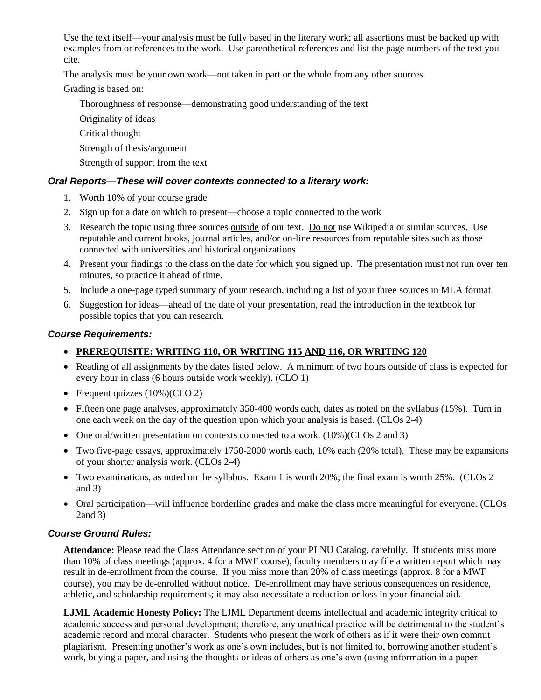Use the text itself—your analysis must be fully based in the literary work; all assertions must be backed up with examples from or references to the work. Use parenthetical references and list the page numbers of the text you cite.

The analysis must be your own work—not taken in part or the whole from any other sources.

Grading is based on:

- Thoroughness of response—demonstrating good understanding of the text
- Originality of ideas
- Critical thought
- Strength of thesis/argument
- Strength of support from the text

## *Oral Reports—These will cover contexts connected to a literary work:*

- 1. Worth 10% of your course grade
- 2. Sign up for a date on which to present—choose a topic connected to the work
- 3. Research the topic using three sources outside of our text. Do not use Wikipedia or similar sources. Use reputable and current books, journal articles, and/or on-line resources from reputable sites such as those connected with universities and historical organizations.
- 4. Present your findings to the class on the date for which you signed up. The presentation must not run over ten minutes, so practice it ahead of time.
- 5. Include a one-page typed summary of your research, including a list of your three sources in MLA format.
- 6. Suggestion for ideas—ahead of the date of your presentation, read the introduction in the textbook for possible topics that you can research.

### *Course Requirements:*

# **PREREQUISITE: WRITING 110, OR WRITING 115 AND 116, OR WRITING 120**

- Reading of all assignments by the dates listed below. A minimum of two hours outside of class is expected for every hour in class (6 hours outside work weekly). (CLO 1)
- Frequent quizzes  $(10\%)$ CLO 2)
- Fifteen one page analyses, approximately 350-400 words each, dates as noted on the syllabus (15%). Turn in one each week on the day of the question upon which your analysis is based. (CLOs 2-4)
- One oral/written presentation on contexts connected to a work.  $(10\%)$  (CLOs 2 and 3)
- $\bullet$  Two five-page essays, approximately 1750-2000 words each, 10% each (20% total). These may be expansions of your shorter analysis work. (CLOs 2-4)
- Two examinations, as noted on the syllabus. Exam 1 is worth 20%; the final exam is worth 25%. (CLOs 2 and 3)
- Oral participation—will influence borderline grades and make the class more meaningful for everyone. (CLOs 2and 3)

# *Course Ground Rules:*

**Attendance:** Please read the Class Attendance section of your PLNU Catalog, carefully. If students miss more than 10% of class meetings (approx. 4 for a MWF course), faculty members may file a written report which may result in de-enrollment from the course. If you miss more than 20% of class meetings (approx. 8 for a MWF course), you may be de-enrolled without notice. De-enrollment may have serious consequences on residence, athletic, and scholarship requirements; it may also necessitate a reduction or loss in your financial aid.

**LJML Academic Honesty Policy:** The LJML Department deems intellectual and academic integrity critical to academic success and personal development; therefore, any unethical practice will be detrimental to the student's academic record and moral character. Students who present the work of others as if it were their own commit plagiarism. Presenting another's work as one's own includes, but is not limited to, borrowing another student's work, buying a paper, and using the thoughts or ideas of others as one's own (using information in a paper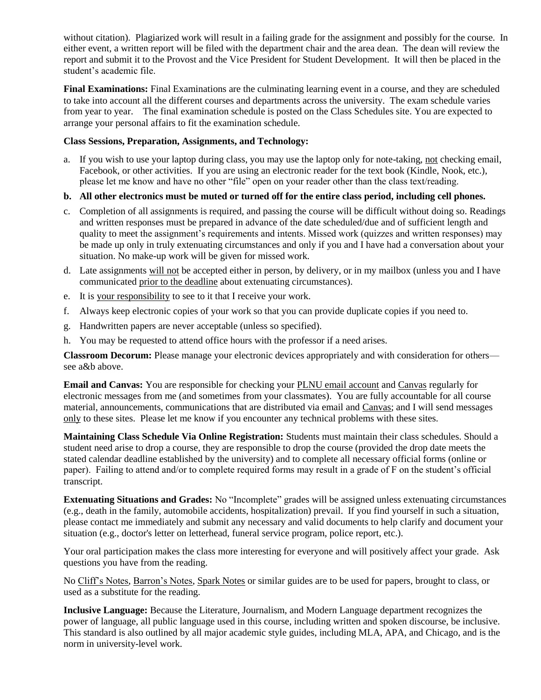without citation). Plagiarized work will result in a failing grade for the assignment and possibly for the course. In either event, a written report will be filed with the department chair and the area dean. The dean will review the report and submit it to the Provost and the Vice President for Student Development. It will then be placed in the student's academic file.

**Final Examinations:** Final Examinations are the culminating learning event in a course, and they are scheduled to take into account all the different courses and departments across the university. The exam schedule varies from year to year. The final examination schedule is posted on the Class Schedules site. You are expected to arrange your personal affairs to fit the examination schedule.

### **Class Sessions, Preparation, Assignments, and Technology:**

a. If you wish to use your laptop during class, you may use the laptop only for note-taking, not checking email, Facebook, or other activities. If you are using an electronic reader for the text book (Kindle, Nook, etc.), please let me know and have no other "file" open on your reader other than the class text/reading.

### **b. All other electronics must be muted or turned off for the entire class period, including cell phones.**

- c. Completion of all assignments is required, and passing the course will be difficult without doing so. Readings and written responses must be prepared in advance of the date scheduled/due and of sufficient length and quality to meet the assignment's requirements and intents. Missed work (quizzes and written responses) may be made up only in truly extenuating circumstances and only if you and I have had a conversation about your situation. No make-up work will be given for missed work.
- d. Late assignments will not be accepted either in person, by delivery, or in my mailbox (unless you and I have communicated prior to the deadline about extenuating circumstances).
- e. It is your responsibility to see to it that I receive your work.
- f. Always keep electronic copies of your work so that you can provide duplicate copies if you need to.
- g. Handwritten papers are never acceptable (unless so specified).
- h. You may be requested to attend office hours with the professor if a need arises.

**Classroom Decorum:** Please manage your electronic devices appropriately and with consideration for others see a&b above.

**Email and Canvas:** You are responsible for checking your PLNU email account and Canvas regularly for electronic messages from me (and sometimes from your classmates). You are fully accountable for all course material, announcements, communications that are distributed via email and Canvas; and I will send messages only to these sites. Please let me know if you encounter any technical problems with these sites.

**Maintaining Class Schedule Via Online Registration:** Students must maintain their class schedules. Should a student need arise to drop a course, they are responsible to drop the course (provided the drop date meets the stated calendar deadline established by the university) and to complete all necessary official forms (online or paper). Failing to attend and/or to complete required forms may result in a grade of F on the student's official transcript.

**Extenuating Situations and Grades:** No "Incomplete" grades will be assigned unless extenuating circumstances (e.g., death in the family, automobile accidents, hospitalization) prevail. If you find yourself in such a situation, please contact me immediately and submit any necessary and valid documents to help clarify and document your situation (e.g., doctor's letter on letterhead, funeral service program, police report, etc.).

Your oral participation makes the class more interesting for everyone and will positively affect your grade. Ask questions you have from the reading.

No Cliff's Notes, Barron's Notes, Spark Notes or similar guides are to be used for papers, brought to class, or used as a substitute for the reading.

**Inclusive Language:** Because the Literature, Journalism, and Modern Language department recognizes the power of language, all public language used in this course, including written and spoken discourse, be inclusive. This standard is also outlined by all major academic style guides, including MLA, APA, and Chicago, and is the norm in university-level work.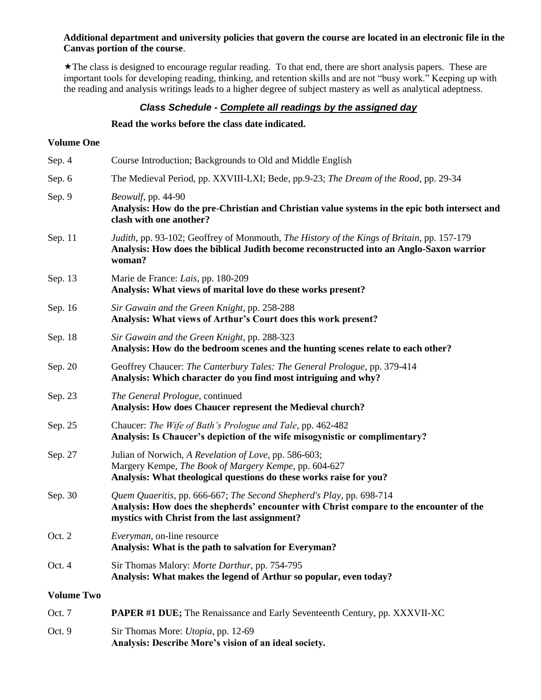#### **Additional department and university policies that govern the course are located in an electronic file in the Canvas portion of the course**.

The class is designed to encourage regular reading. To that end, there are short analysis papers. These are important tools for developing reading, thinking, and retention skills and are not "busy work." Keeping up with the reading and analysis writings leads to a higher degree of subject mastery as well as analytical adeptness.

### *Class Schedule - Complete all readings by the assigned day*

#### **Read the works before the class date indicated.**

Oct. 9 Sir Thomas More: *Utopia*, pp. 12-69

**Analysis: Describe More's vision of an ideal society.**

### **Volume One**

| Sep. 4            | Course Introduction; Backgrounds to Old and Middle English                                                                                                                                                       |
|-------------------|------------------------------------------------------------------------------------------------------------------------------------------------------------------------------------------------------------------|
| Sep. 6            | The Medieval Period, pp. XXVIII-LXI; Bede, pp.9-23; The Dream of the Rood, pp. 29-34                                                                                                                             |
| Sep. 9            | Beowulf, pp. 44-90<br>Analysis: How do the pre-Christian and Christian value systems in the epic both intersect and<br>clash with one another?                                                                   |
| Sep. 11           | Judith, pp. 93-102; Geoffrey of Monmouth, <i>The History of the Kings of Britain</i> , pp. 157-179<br>Analysis: How does the biblical Judith become reconstructed into an Anglo-Saxon warrior<br>woman?          |
| Sep. 13           | Marie de France: Lais, pp. 180-209<br>Analysis: What views of marital love do these works present?                                                                                                               |
| Sep. 16           | Sir Gawain and the Green Knight, pp. 258-288<br>Analysis: What views of Arthur's Court does this work present?                                                                                                   |
| Sep. 18           | Sir Gawain and the Green Knight, pp. 288-323<br>Analysis: How do the bedroom scenes and the hunting scenes relate to each other?                                                                                 |
| Sep. 20           | Geoffrey Chaucer: The Canterbury Tales: The General Prologue, pp. 379-414<br>Analysis: Which character do you find most intriguing and why?                                                                      |
| Sep. 23           | The General Prologue, continued<br>Analysis: How does Chaucer represent the Medieval church?                                                                                                                     |
| Sep. 25           | Chaucer: The Wife of Bath's Prologue and Tale, pp. 462-482<br>Analysis: Is Chaucer's depiction of the wife misogynistic or complimentary?                                                                        |
| Sep. 27           | Julian of Norwich, A Revelation of Love, pp. 586-603;<br>Margery Kempe, The Book of Margery Kempe, pp. 604-627<br>Analysis: What theological questions do these works raise for you?                             |
| Sep. 30           | Quem Quaeritis, pp. 666-667; The Second Shepherd's Play, pp. 698-714<br>Analysis: How does the shepherds' encounter with Christ compare to the encounter of the<br>mystics with Christ from the last assignment? |
| Oct. 2            | <i>Everyman</i> , on-line resource<br>Analysis: What is the path to salvation for Everyman?                                                                                                                      |
| Oct. 4            | Sir Thomas Malory: Morte Darthur, pp. 754-795<br>Analysis: What makes the legend of Arthur so popular, even today?                                                                                               |
| <b>Volume Two</b> |                                                                                                                                                                                                                  |
| Oct. 7            | <b>PAPER #1 DUE;</b> The Renaissance and Early Seventeenth Century, pp. XXXVII-XC                                                                                                                                |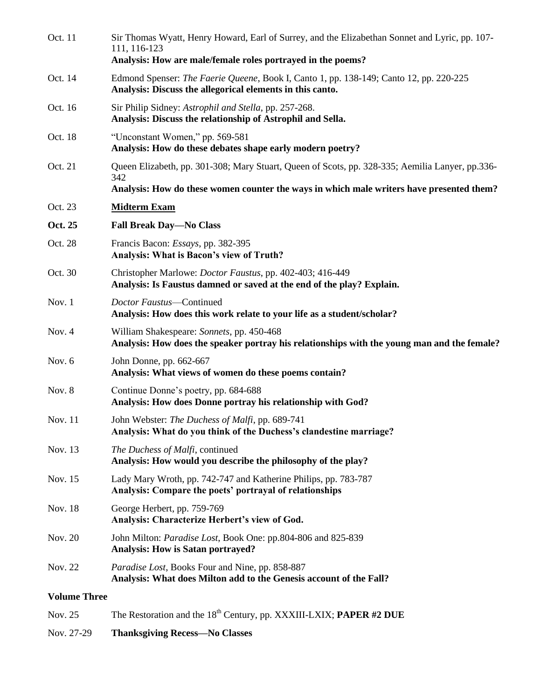| Oct. 11             | Sir Thomas Wyatt, Henry Howard, Earl of Surrey, and the Elizabethan Sonnet and Lyric, pp. 107-<br>111, 116-123<br>Analysis: How are male/female roles portrayed in the poems? |
|---------------------|-------------------------------------------------------------------------------------------------------------------------------------------------------------------------------|
| Oct. 14             | Edmond Spenser: The Faerie Queene, Book I, Canto 1, pp. 138-149; Canto 12, pp. 220-225<br>Analysis: Discuss the allegorical elements in this canto.                           |
| Oct. 16             | Sir Philip Sidney: Astrophil and Stella, pp. 257-268.<br>Analysis: Discuss the relationship of Astrophil and Sella.                                                           |
| Oct. 18             | "Unconstant Women," pp. 569-581<br>Analysis: How do these debates shape early modern poetry?                                                                                  |
| Oct. 21             | Queen Elizabeth, pp. 301-308; Mary Stuart, Queen of Scots, pp. 328-335; Aemilia Lanyer, pp.336-<br>342                                                                        |
|                     | Analysis: How do these women counter the ways in which male writers have presented them?                                                                                      |
| Oct. 23             | <b>Midterm Exam</b>                                                                                                                                                           |
| Oct. 25             | <b>Fall Break Day-No Class</b>                                                                                                                                                |
| Oct. 28             | Francis Bacon: <i>Essays</i> , pp. 382-395<br><b>Analysis: What is Bacon's view of Truth?</b>                                                                                 |
| Oct. 30             | Christopher Marlowe: <i>Doctor Faustus</i> , pp. 402-403; 416-449<br>Analysis: Is Faustus damned or saved at the end of the play? Explain.                                    |
| Nov. $1$            | Doctor Faustus-Continued<br>Analysis: How does this work relate to your life as a student/scholar?                                                                            |
| Nov. $4$            | William Shakespeare: Sonnets, pp. 450-468<br>Analysis: How does the speaker portray his relationships with the young man and the female?                                      |
| Nov. $6$            | John Donne, pp. 662-667<br>Analysis: What views of women do these poems contain?                                                                                              |
| Nov. 8              | Continue Donne's poetry, pp. 684-688<br>Analysis: How does Donne portray his relationship with God?                                                                           |
| Nov. 11             | John Webster: The Duchess of Malfi, pp. 689-741<br>Analysis: What do you think of the Duchess's clandestine marriage?                                                         |
| Nov. 13             | The Duchess of Malfi, continued<br>Analysis: How would you describe the philosophy of the play?                                                                               |
| Nov. 15             | Lady Mary Wroth, pp. 742-747 and Katherine Philips, pp. 783-787<br>Analysis: Compare the poets' portrayal of relationships                                                    |
| Nov. 18             | George Herbert, pp. 759-769<br>Analysis: Characterize Herbert's view of God.                                                                                                  |
| Nov. 20             | John Milton: Paradise Lost, Book One: pp.804-806 and 825-839<br><b>Analysis: How is Satan portrayed?</b>                                                                      |
| Nov. 22             | Paradise Lost, Books Four and Nine, pp. 858-887<br>Analysis: What does Milton add to the Genesis account of the Fall?                                                         |
| <b>Volume Three</b> |                                                                                                                                                                               |
| Nov. 25             | The Restoration and the 18 <sup>th</sup> Century, pp. XXXIII-LXIX; PAPER #2 DUE                                                                                               |
|                     |                                                                                                                                                                               |

Nov. 27-29 **Thanksgiving Recess—No Classes**